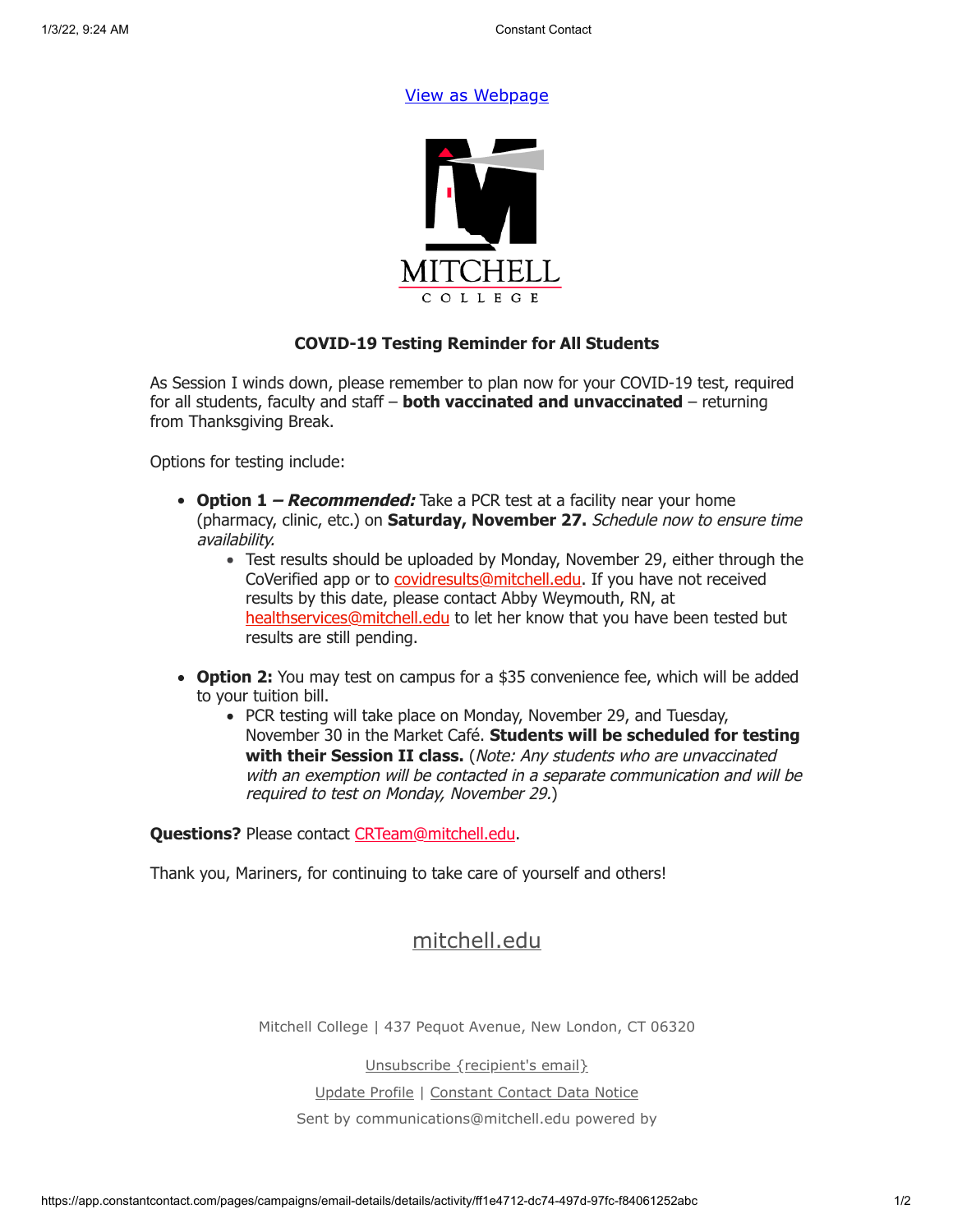## [View as Webpage](https://campaignlp.constantcontact.com/em/1119223208753/ff1e4712-dc74-497d-97fc-f84061252abc)



## **COVID-19 Testing Reminder for All Students**

As Session I winds down, please remember to plan now for your COVID-19 test, required for all students, faculty and staff – **both vaccinated and unvaccinated** – returning from Thanksgiving Break.

Options for testing include:

- **Option 1 Recommended:** Take a PCR test at a facility near your home (pharmacy, clinic, etc.) on **Saturday, November 27.** Schedule now to ensure time availability.
	- Test results should be uploaded by Monday, November 29, either through the CoVerified app or to **covidresults@mitchell.edu**. If you have not received results by this date, please contact Abby Weymouth, RN, at [healthservices@mitchell.edu](mailto:healthservices@mitchell.edu) to let her know that you have been tested but results are still pending.
- **Option 2:** You may test on campus for a \$35 convenience fee, which will be added to your tuition bill.
	- PCR testing will take place on Monday, November 29, and Tuesday, November 30 in the Market Café. **Students will be scheduled for testing with their Session II class.** (Note: Any students who are unvaccinated with an exemption will be contacted in a separate communication and will be required to test on Monday, November 29.)

**Questions?** Please contact [CRTeam@mitchell.edu](mailto:CRTeam@mitchell.edu).

Thank you, Mariners, for continuing to take care of yourself and others!

## [mitchell.edu](https://mitchell.edu/)

Mitchell College | 437 Pequot Avenue, New London, CT 06320

Unsubscribe {recipient's email}

Update Profile | [Constant Contact Data Notice](https://www.constantcontact.com/legal/customer-contact-data-notice)

Sent by [communications@mitchell.edu](mailto:communications@mitchell.edu) powered by